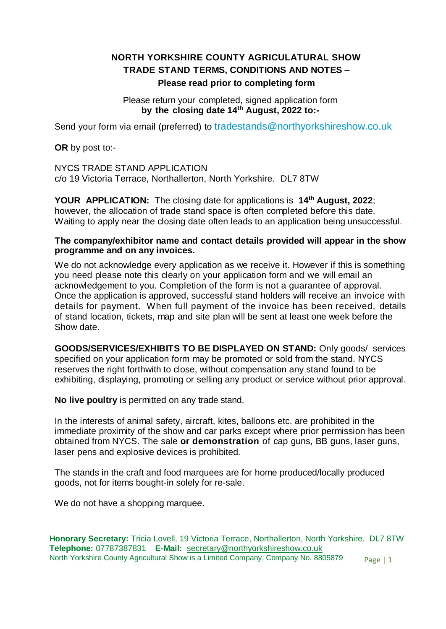## **NORTH YORKSHIRE COUNTY AGRICULATURAL SHOW TRADE STAND TERMS, CONDITIONS AND NOTES – Please read prior to completing form**

Please return your completed, signed application form **by the closing date 14th August, 2022 to:-**

Send your form via email (preferred) to [tradestands@northyorkshireshow.co.uk](https://webmail.123-reg.co.uk/login/)

**OR** by post to:-

NYCS TRADE STAND APPLICATION c/o 19 Victoria Terrace, Northallerton, North Yorkshire. DL7 8TW

**YOUR APPLICATION:** The closing date for applications is **14th August, 2022**; however, the allocation of trade stand space is often completed before this date. Waiting to apply near the closing date often leads to an application being unsuccessful.

## **The company/exhibitor name and contact details provided will appear in the show programme and on any invoices.**

We do not acknowledge every application as we receive it. However if this is something you need please note this clearly on your application form and we will email an acknowledgement to you. Completion of the form is not a guarantee of approval. Once the application is approved, successful stand holders will receive an invoice with details for payment. When full payment of the invoice has been received, details of stand location, tickets, map and site plan will be sent at least one week before the Show date.

**GOODS/SERVICES/EXHIBITS TO BE DISPLAYED ON STAND:** Only goods/ services specified on your application form may be promoted or sold from the stand. NYCS reserves the right forthwith to close, without compensation any stand found to be exhibiting, displaying, promoting or selling any product or service without prior approval.

**No live poultry** is permitted on any trade stand.

In the interests of animal safety, aircraft, kites, balloons etc. are prohibited in the immediate proximity of the show and car parks except where prior permission has been obtained from NYCS. The sale **or demonstration** of cap guns, BB guns, laser guns, laser pens and explosive devices is prohibited.

The stands in the craft and food marquees are for home produced/locally produced goods, not for items bought-in solely for re-sale.

We do not have a shopping marquee.

Page | 1 **Honorary Secretary:** Tricia Lovell, 19 Victoria Terrace, Northallerton, North Yorkshire. DL7 8TW **Telephone:** 07787387831 **E-Mail:** [secretary@northyorkshireshow.co.uk](mailto:secretary@northyorkshireshow.co.uk) North Yorkshire County Agricultural Show is a Limited Company, Company No. 8805879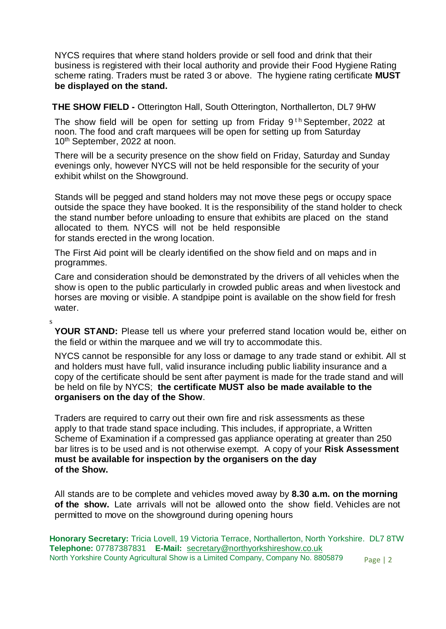NYCS requires that where stand holders provide or sell food and drink that their business is registered with their local authority and provide their Food Hygiene Rating scheme rating. Traders must be rated 3 or above. The hygiene rating certificate **MUST be displayed on the stand.**

**THE SHOW FIELD -** Otterington Hall, South Otterington, Northallerton, DL7 9HW

The show field will be open for setting up from Friday  $9<sup>th</sup>$  September, 2022 at noon. The food and craft marquees will be open for setting up from Saturday 10<sup>th</sup> September, 2022 at noon.

There will be a security presence on the show field on Friday, Saturday and Sunday evenings only, however NYCS will not be held responsible for the security of your exhibit whilst on the Showground.

Stands will be pegged and stand holders may not move these pegs or occupy space outside the space they have booked. It is the responsibility of the stand holder to check the stand number before unloading to ensure that exhibits are placed on the stand allocated to them. NYCS will not be held responsible for stands erected in the wrong location.

The First Aid point will be clearly identified on the show field and on maps and in programmes.

s

Care and consideration should be demonstrated by the drivers of all vehicles when the show is open to the public particularly in crowded public areas and when livestock and horses are moving or visible. A standpipe point is available on the show field for fresh water.

**YOUR STAND:** Please tell us where your preferred stand location would be, either on the field or within the marquee and we will try to accommodate this.

NYCS cannot be responsible for any loss or damage to any trade stand or exhibit. All st and holders must have full, valid insurance including public liability insurance and a copy of the certificate should be sent after payment is made for the trade stand and will be held on file by NYCS; **the certificate MUST also be made available to the organisers on the day of the Show**.

Traders are required to carry out their own fire and risk assessments as these apply to that trade stand space including. This includes, if appropriate, a Written Scheme of Examination if a compressed gas appliance operating at greater than 250 bar litres is to be used and is not otherwise exempt. A copy of your **Risk Assessment must be available for inspection by the organisers on the day of the Show.**

All stands are to be complete and vehicles moved away by **8.30 a.m. on the morning of the show.** Late arrivals will not be allowed onto the show field. Vehicles are not permitted to move on the showground during opening hours

Page | 2 **Honorary Secretary:** Tricia Lovell, 19 Victoria Terrace, Northallerton, North Yorkshire. DL7 8TW **Telephone:** 07787387831 **E-Mail:** [secretary@northyorkshireshow.co.uk](mailto:secretary@northyorkshireshow.co.uk) North Yorkshire County Agricultural Show is a Limited Company, Company No. 8805879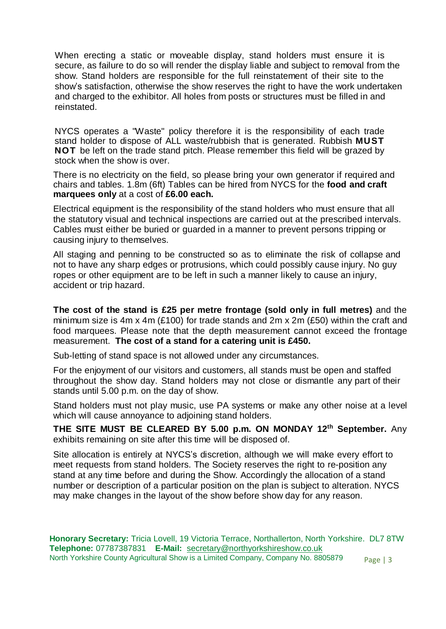When erecting a static or moveable display, stand holders must ensure it is secure, as failure to do so will render the display liable and subject to removal from the show. Stand holders are responsible for the full reinstatement of their site to the show's satisfaction, otherwise the show reserves the right to have the work undertaken and charged to the exhibitor. All holes from posts or structures must be filled in and reinstated.

NYCS operates a "Waste" policy therefore it is the responsibility of each trade stand holder to dispose of ALL waste/rubbish that is generated. Rubbish **MUST NOT** be left on the trade stand pitch. Please remember this field will be grazed by stock when the show is over.

There is no electricity on the field, so please bring your own generator if required and chairs and tables. 1.8m (6ft) Tables can be hired from NYCS for the **food and craft marquees only** at a cost of **£6.00 each.**

Electrical equipment is the responsibility of the stand holders who must ensure that all the statutory visual and technical inspections are carried out at the prescribed intervals. Cables must either be buried or guarded in a manner to prevent persons tripping or causing injury to themselves.

All staging and penning to be constructed so as to eliminate the risk of collapse and not to have any sharp edges or protrusions, which could possibly cause injury. No guy ropes or other equipment are to be left in such a manner likely to cause an injury, accident or trip hazard.

**The cost of the stand is £25 per metre frontage (sold only in full metres)** and the minimum size is 4m x 4m (£100) for trade stands and 2m x 2m (£50) within the craft and food marquees. Please note that the depth measurement cannot exceed the frontage measurement. **The cost of a stand for a catering unit is £450.**

Sub-letting of stand space is not allowed under any circumstances.

For the enjoyment of our visitors and customers, all stands must be open and staffed throughout the show day. Stand holders may not close or dismantle any part of their stands until 5.00 p.m. on the day of show.

Stand holders must not play music, use PA systems or make any other noise at a level which will cause annoyance to adjoining stand holders.

**THE SITE MUST BE CLEARED BY 5.00 p.m. ON MONDAY 12th September.** Any exhibits remaining on site after this time will be disposed of.

Site allocation is entirely at NYCS's discretion, although we will make every effort to meet requests from stand holders. The Society reserves the right to re-position any stand at any time before and during the Show. Accordingly the allocation of a stand number or description of a particular position on the plan is subject to alteration. NYCS may make changes in the layout of the show before show day for any reason.